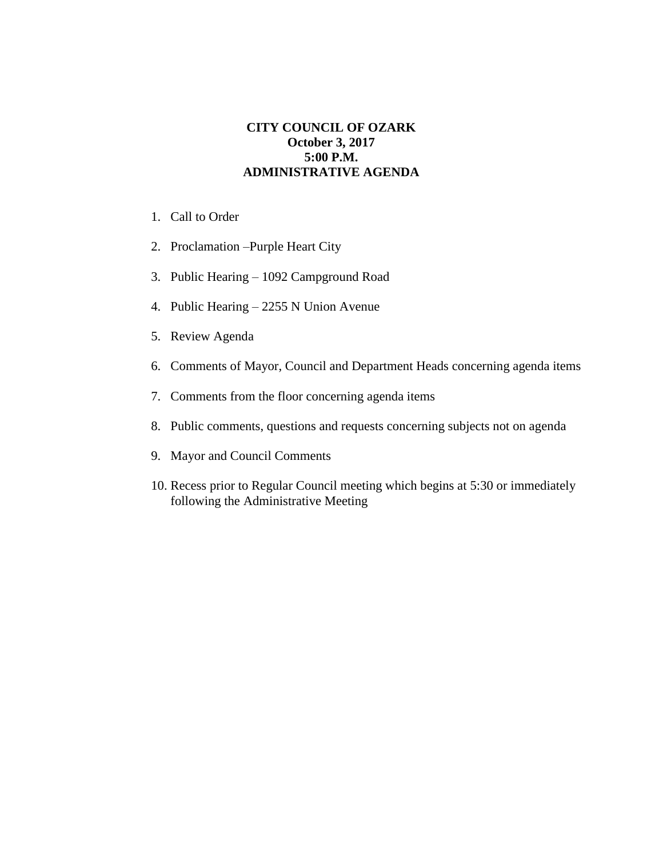## **CITY COUNCIL OF OZARK October 3, 2017 5:00 P.M. ADMINISTRATIVE AGENDA**

- 1. Call to Order
- 2. Proclamation –Purple Heart City
- 3. Public Hearing 1092 Campground Road
- 4. Public Hearing 2255 N Union Avenue
- 5. Review Agenda
- 6. Comments of Mayor, Council and Department Heads concerning agenda items
- 7. Comments from the floor concerning agenda items
- 8. Public comments, questions and requests concerning subjects not on agenda
- 9. Mayor and Council Comments
- 10. Recess prior to Regular Council meeting which begins at 5:30 or immediately following the Administrative Meeting